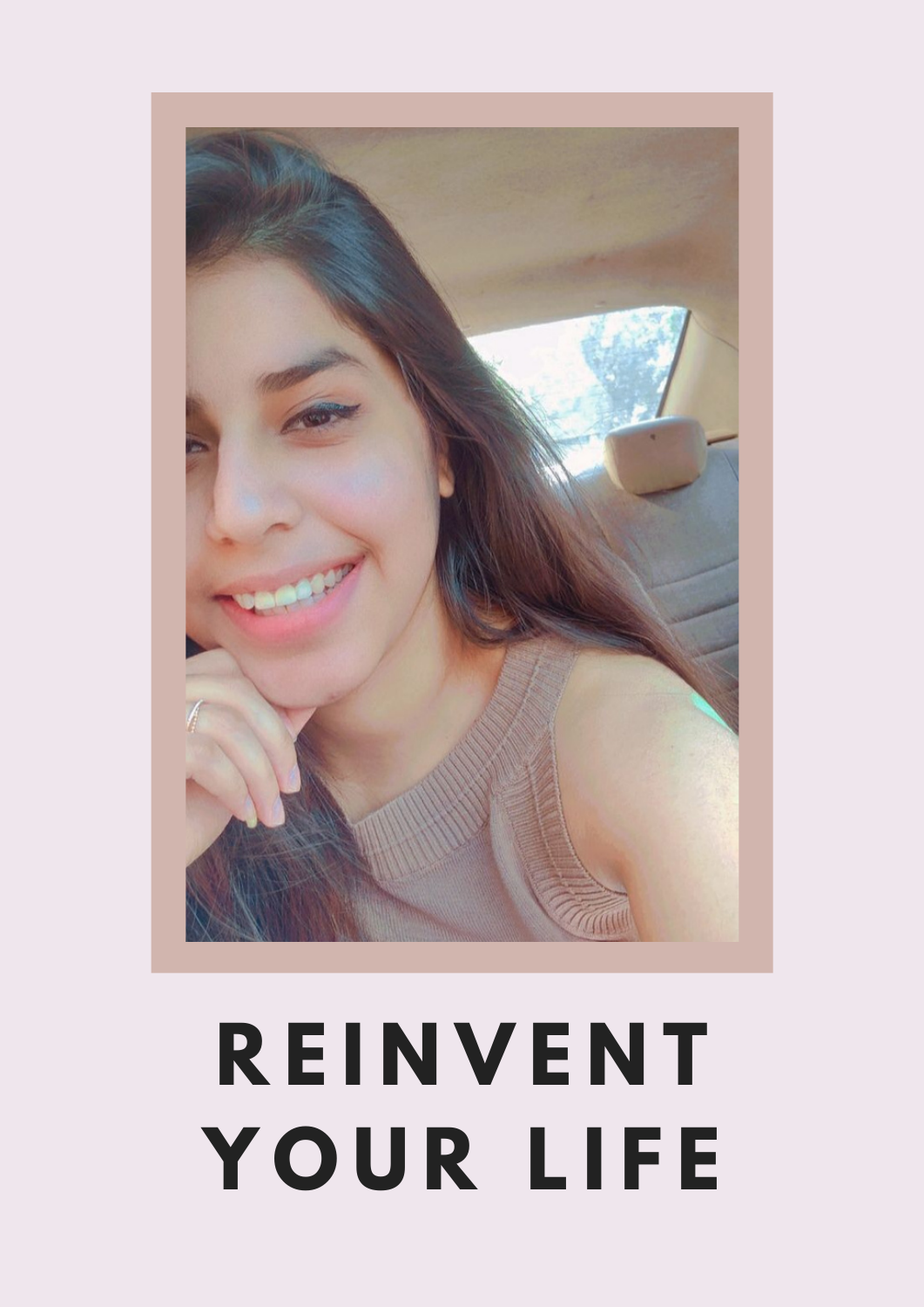# **R E I N V E N T Y O U R L I F E**

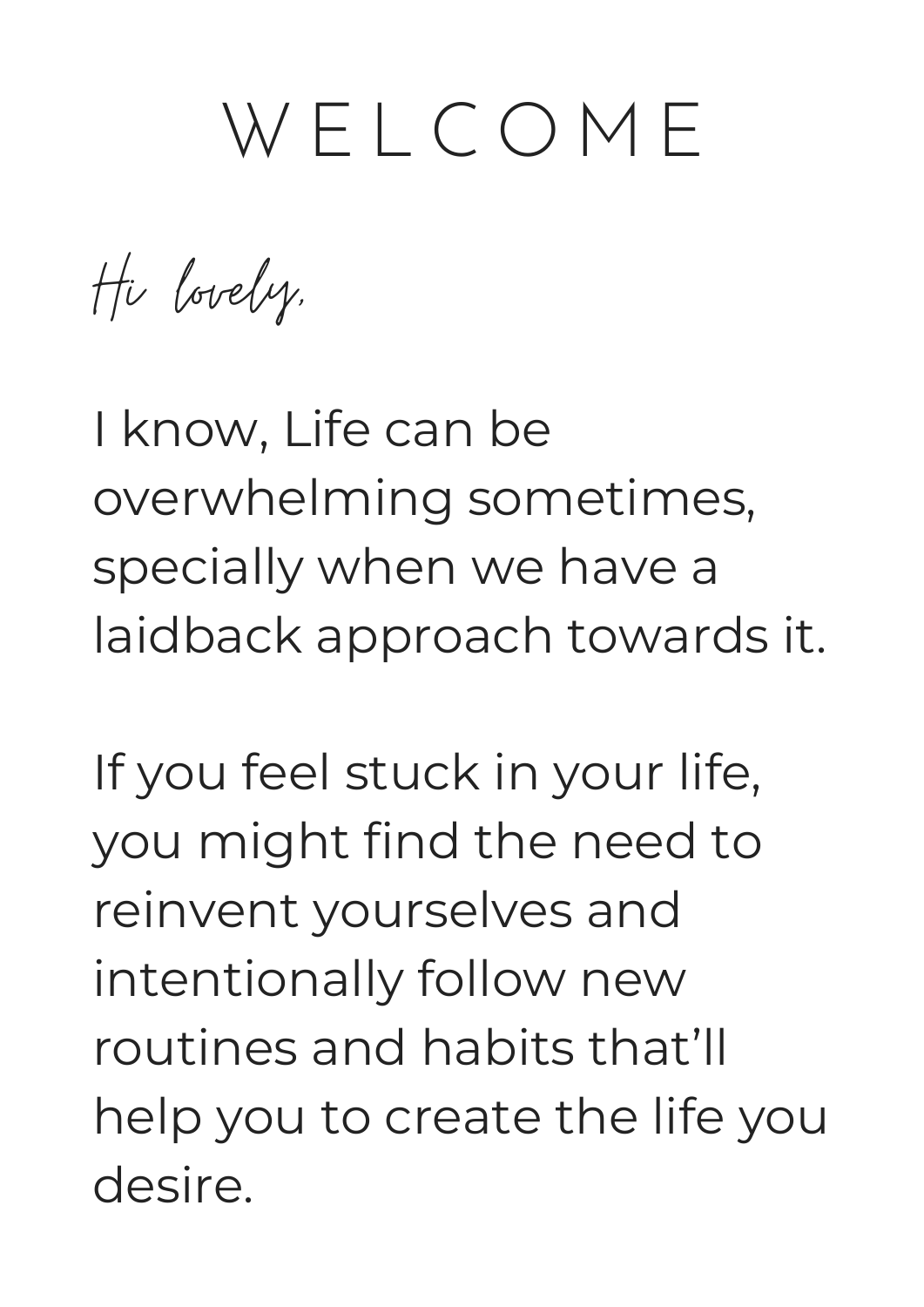### W E L C O M E

Hi lovely,

I know, Life can be overwhelming sometimes, specially when we have a laidback approach towards it.

If you feel stuck in your life, you might find the need to reinvent yourselves and intentionally follow new routines and habits that'll help you to create the life you desire.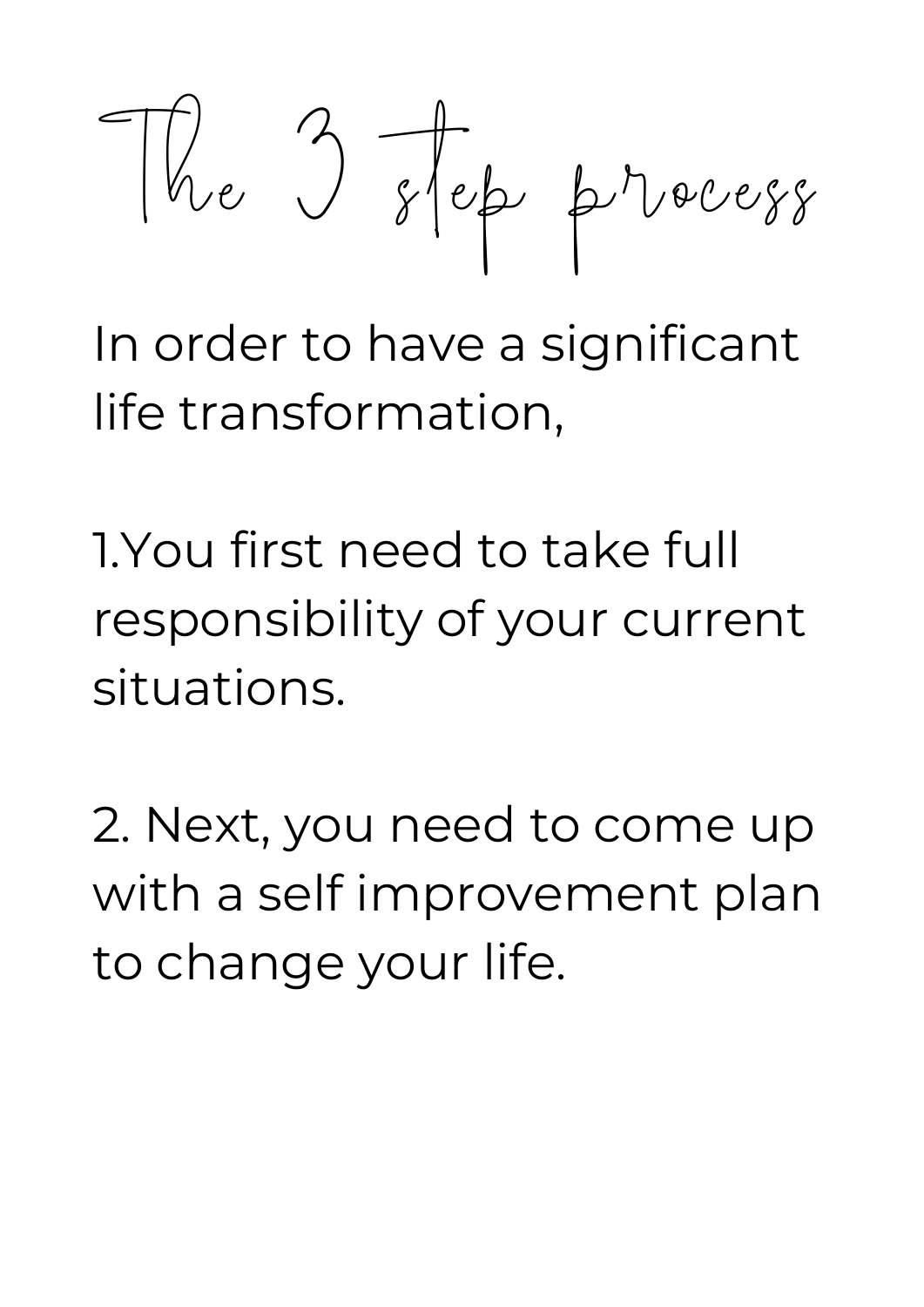The 3 step process

In order to have a significant life transformation,

1.You first need to take full responsibility of your current situations.

2. Next, you need to come up with a self improvement plan to change your life.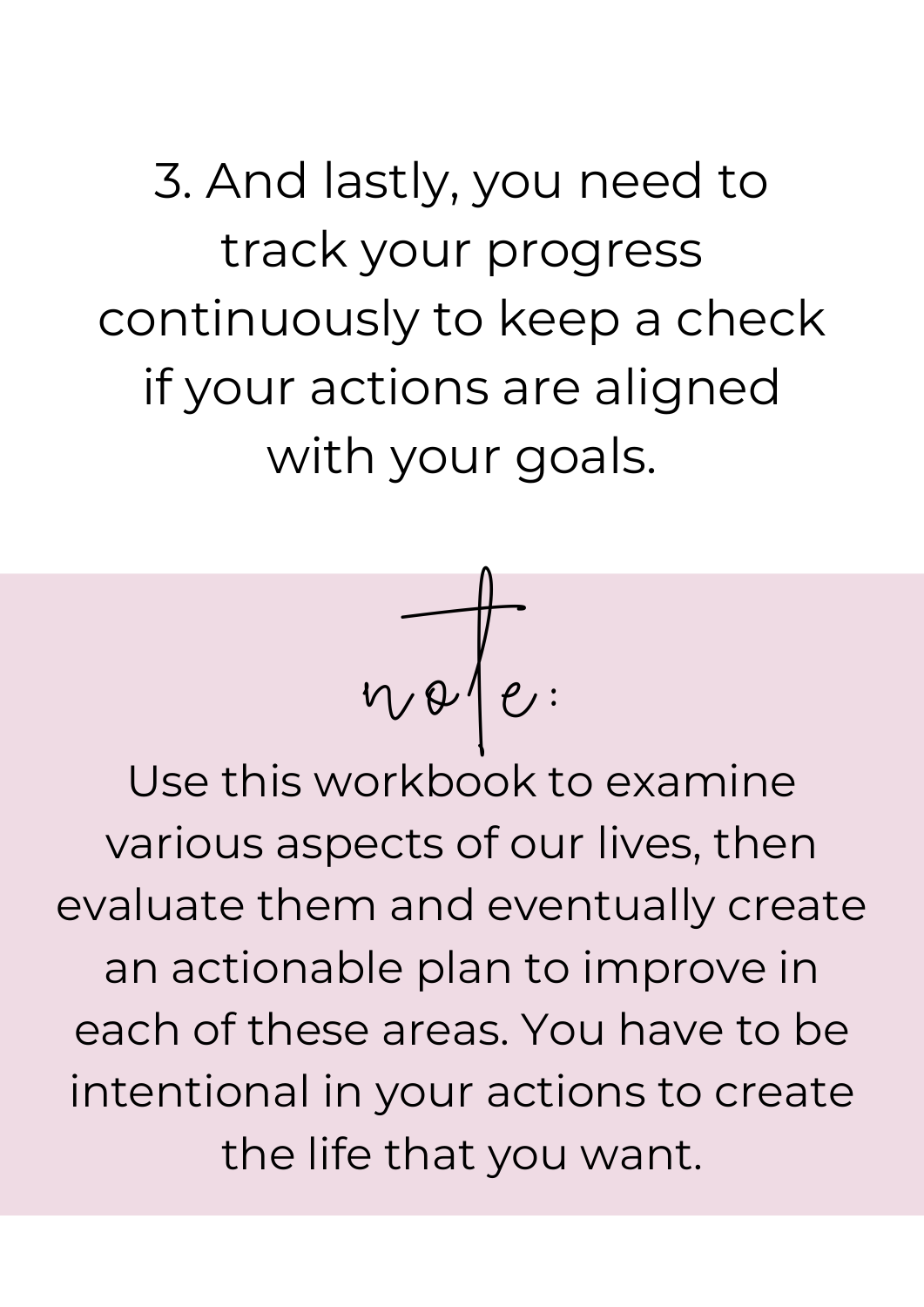3. And lastly, you need to track your progress continuously to keep a check if your actions are aligned with your goals.



Use this workbook to examine various aspects of our lives, then evaluate them and eventually create an actionable plan to improve in each of these areas. You have to be intentional in your actions to create the life that you want.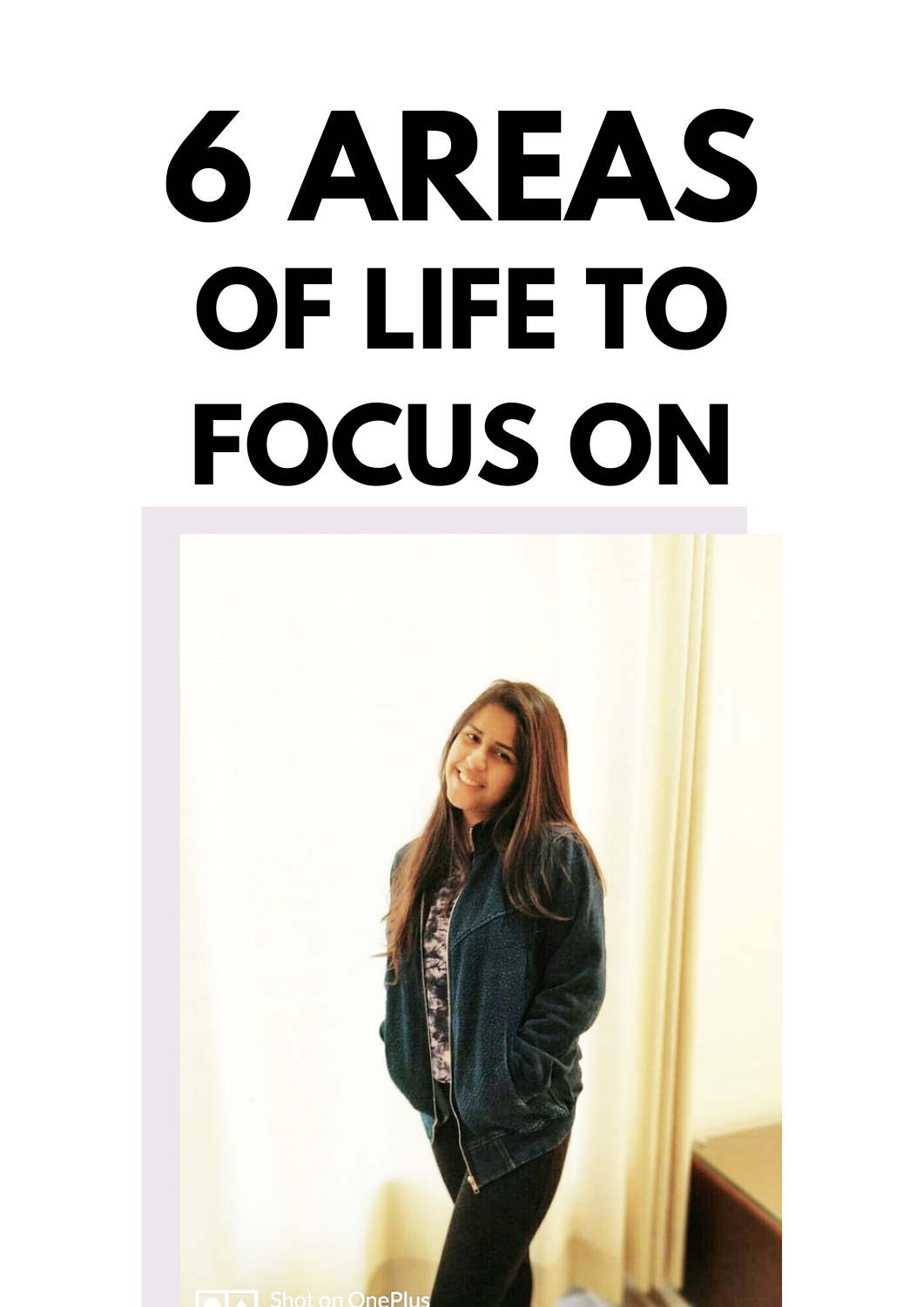# **6 AREAS OF LIFE TO FOCUS ON**

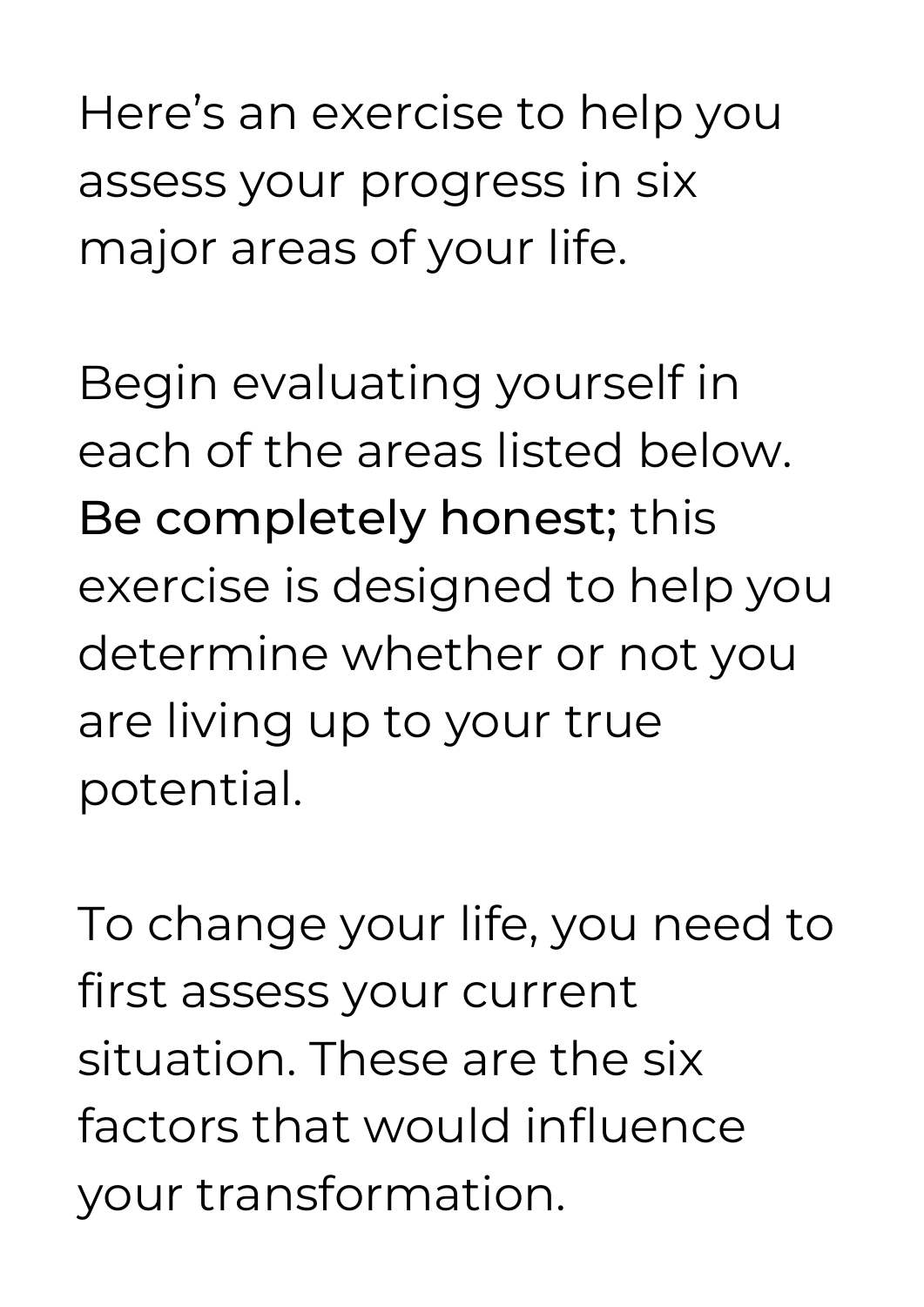Here's an exercise to help you assess your progress in six major areas of your life.

Begin evaluating yourself in each of the areas listed below. Be completely honest; this exercise is designed to help you determine whether or not you are living up to your true potential.

To change your life, you need to first assess your current situation. These are the six factors that would influence your transformation.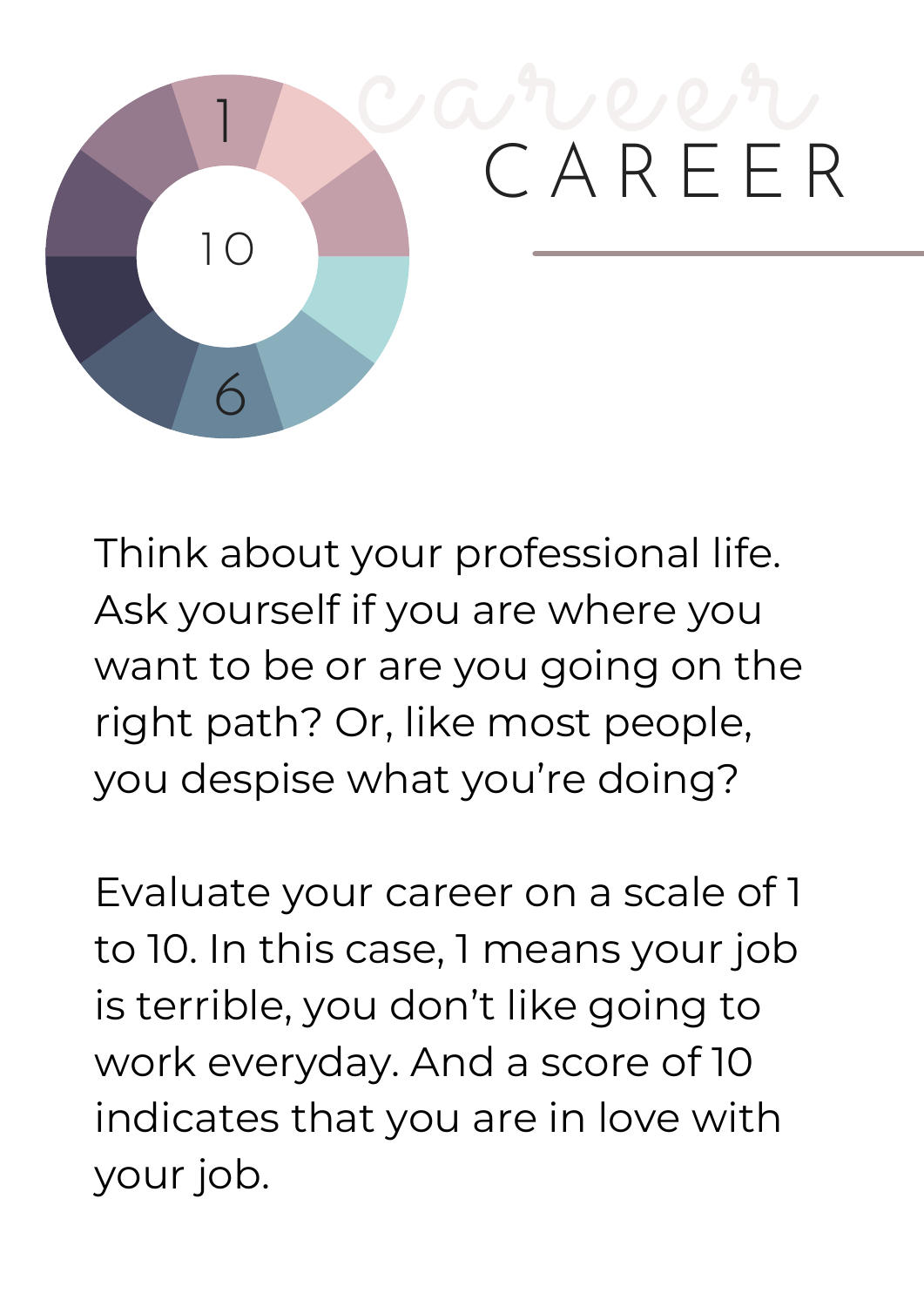

Think about your professional life. Ask yourself if you are where you want to be or are you going on the right path? Or, like most people, you despise what you're doing?

Evaluate your career on a scale of 1 to 10. In this case, 1 means your job is terrible, you don't like going to work everyday. And a score of 10 indicates that you are in love with your job.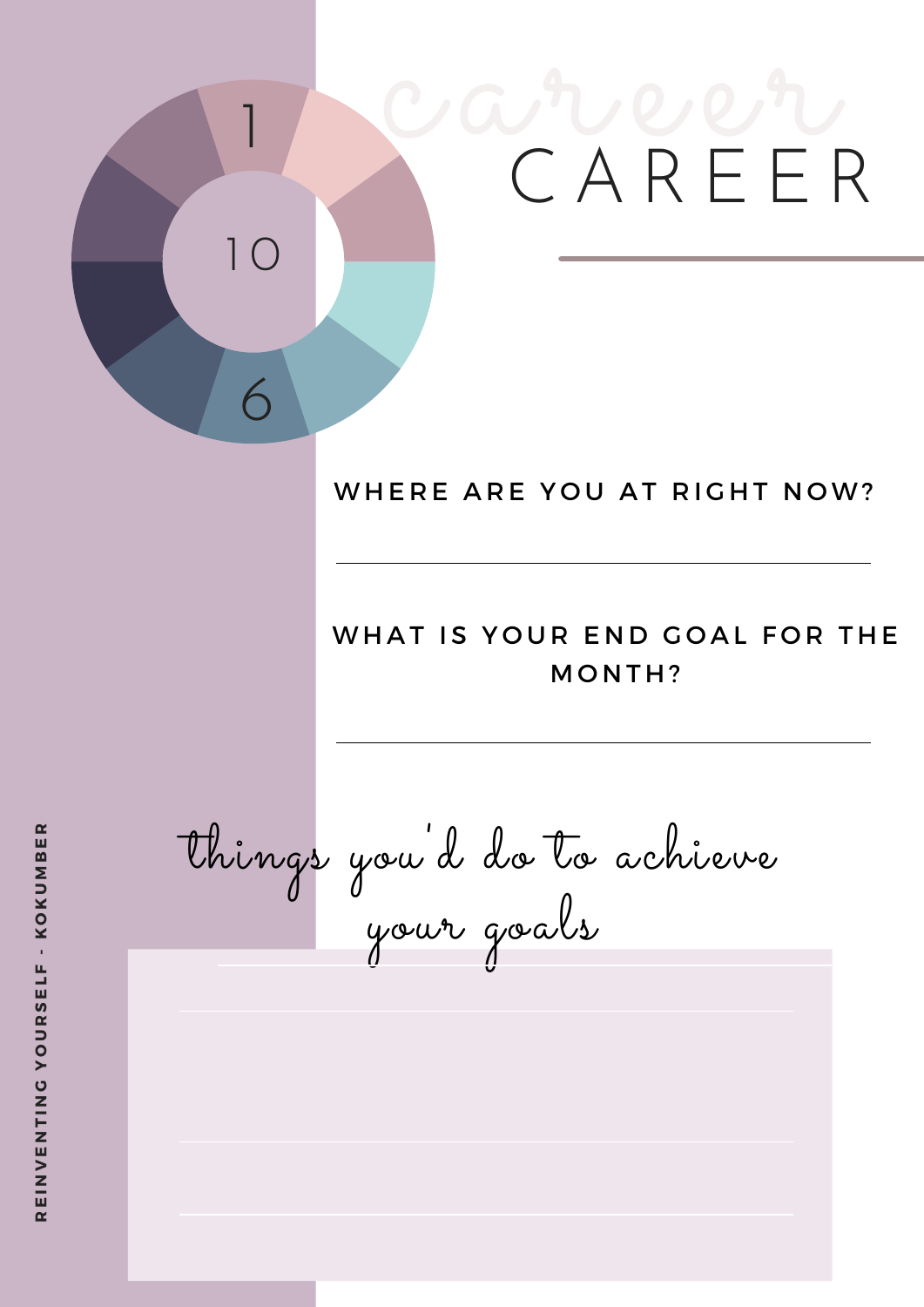# career C A R E E R 1 6 1 0

### WHERE ARE YOU AT RIGHT NOW?

### WHAT IS YOUR END GOAL FOR THE MONTH?

things you 'd do to achieve your goals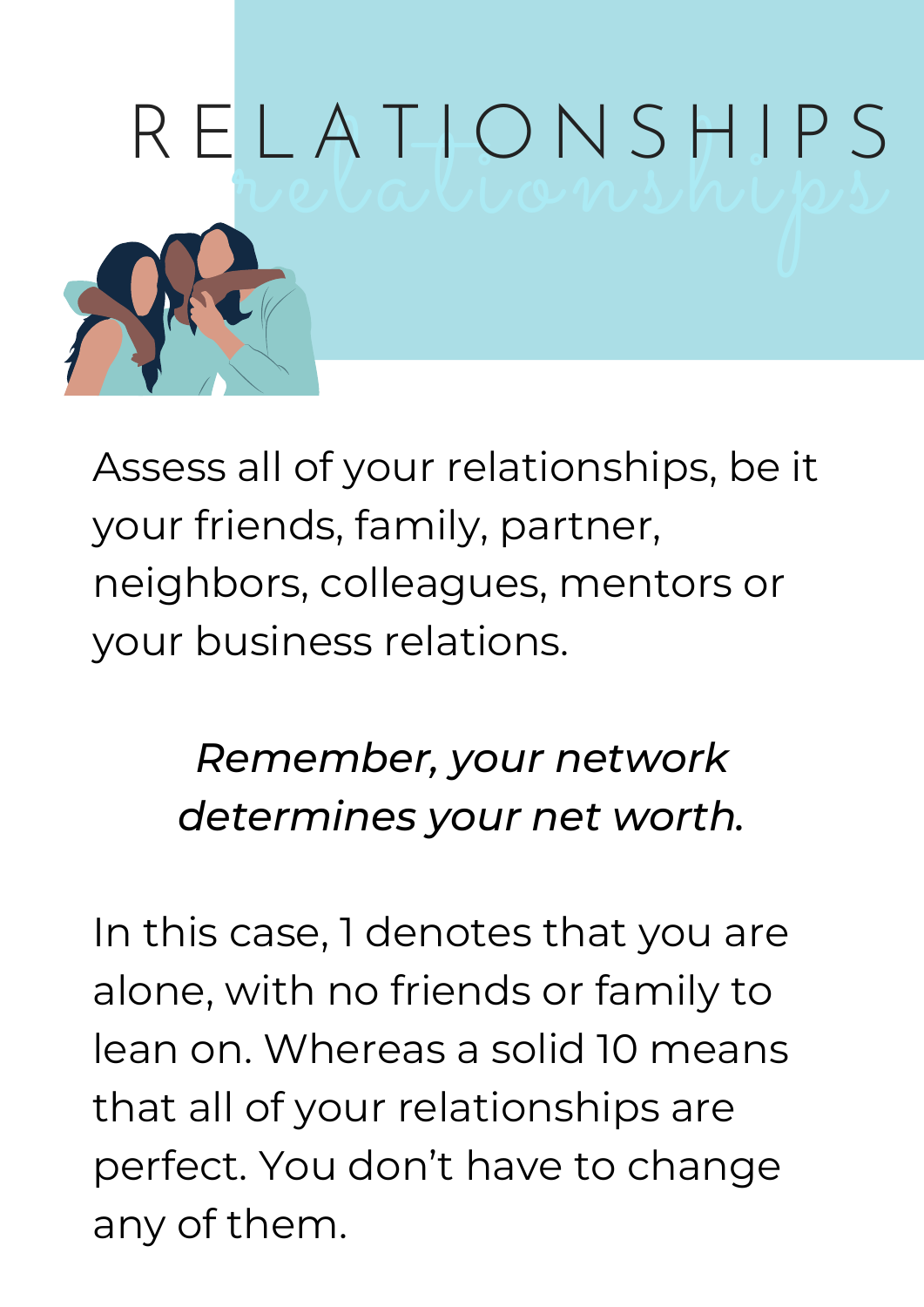

Assess all of your relationships, be it your friends, family, partner, neighbors, colleagues, mentors or your business relations.

### *Remember, your network determines your net worth.*

In this case, 1 denotes that you are alone, with no friends or family to lean on. Whereas a solid 10 means that all of your relationships are perfect. You don't have to change any of them.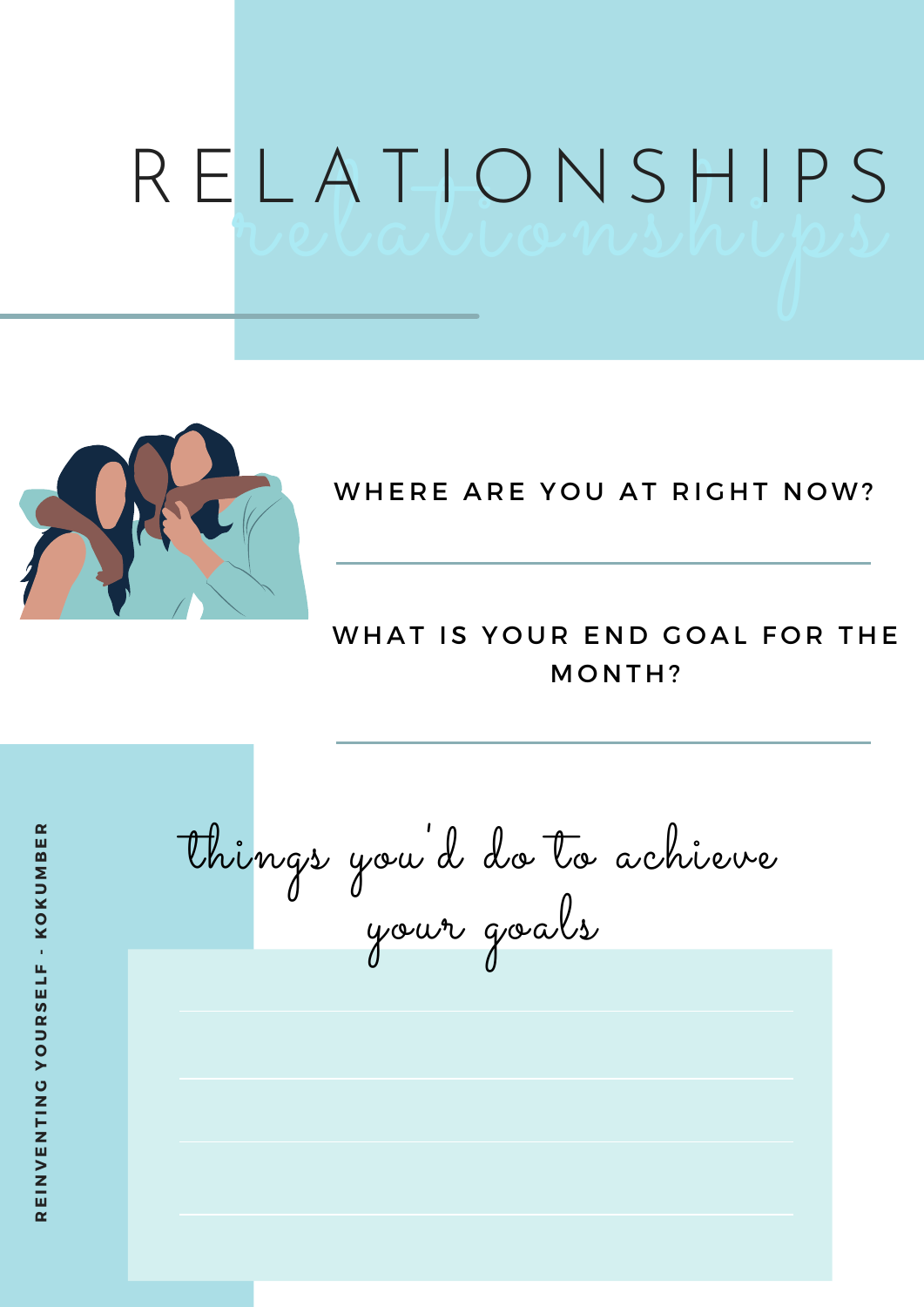## LAI-UNSMIPS<br>relationships R E L A T I O N S H I P S



### WHERE ARE YOU AT RIGHT NOW?

### WHAT IS YOUR END GOAL FOR THE MONTH?

things you 'd do to achieve your goals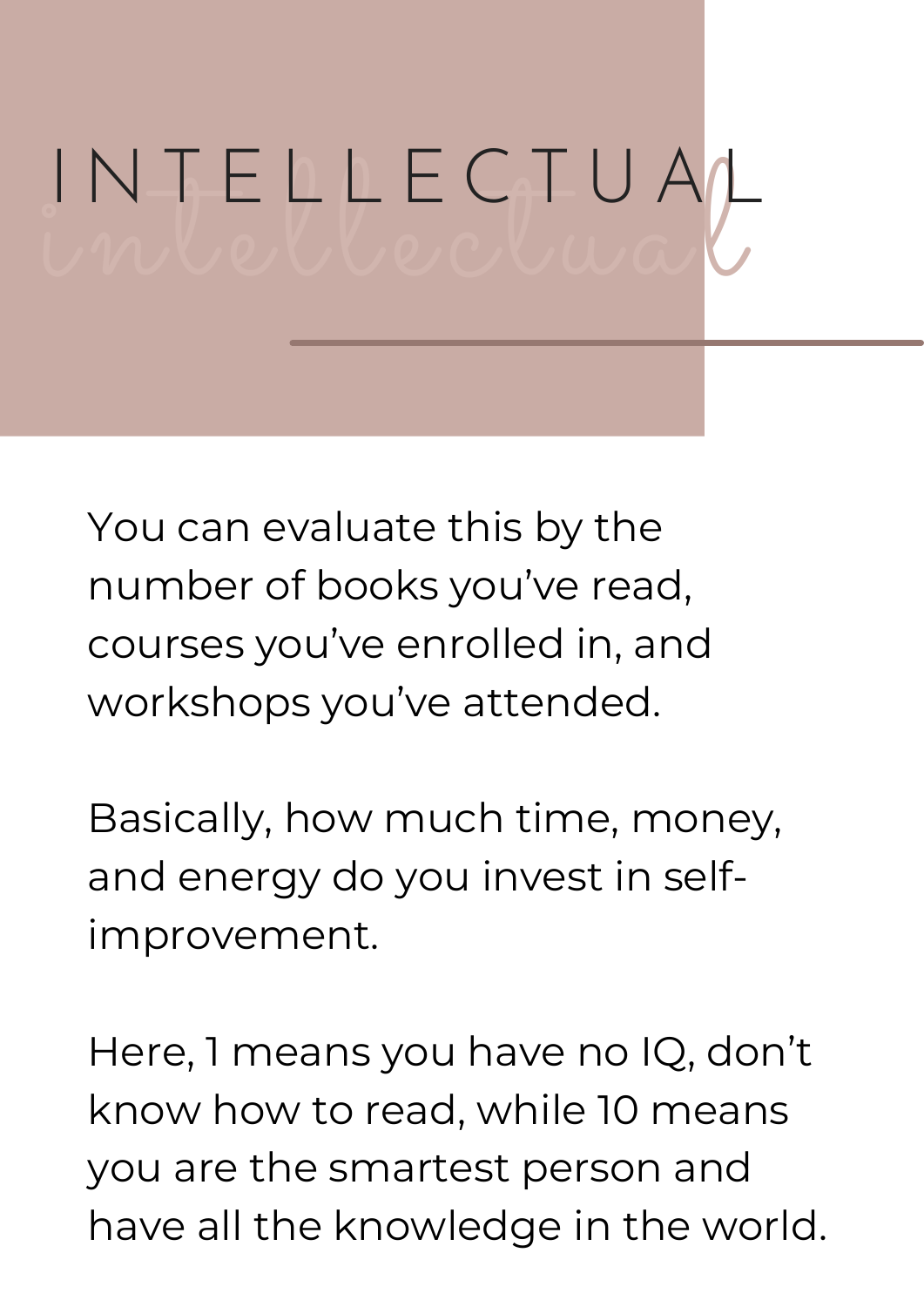# intellectual I N T E L L E C T U A L

You can evaluate this by the number of books you've read, courses you've enrolled in, and workshops you've attended.

Basically, how much time, money, and energy do you invest in selfimprovement.

Here, 1 means you have no IQ, don't know how to read, while 10 means you are the smartest person and have all the knowledge in the world.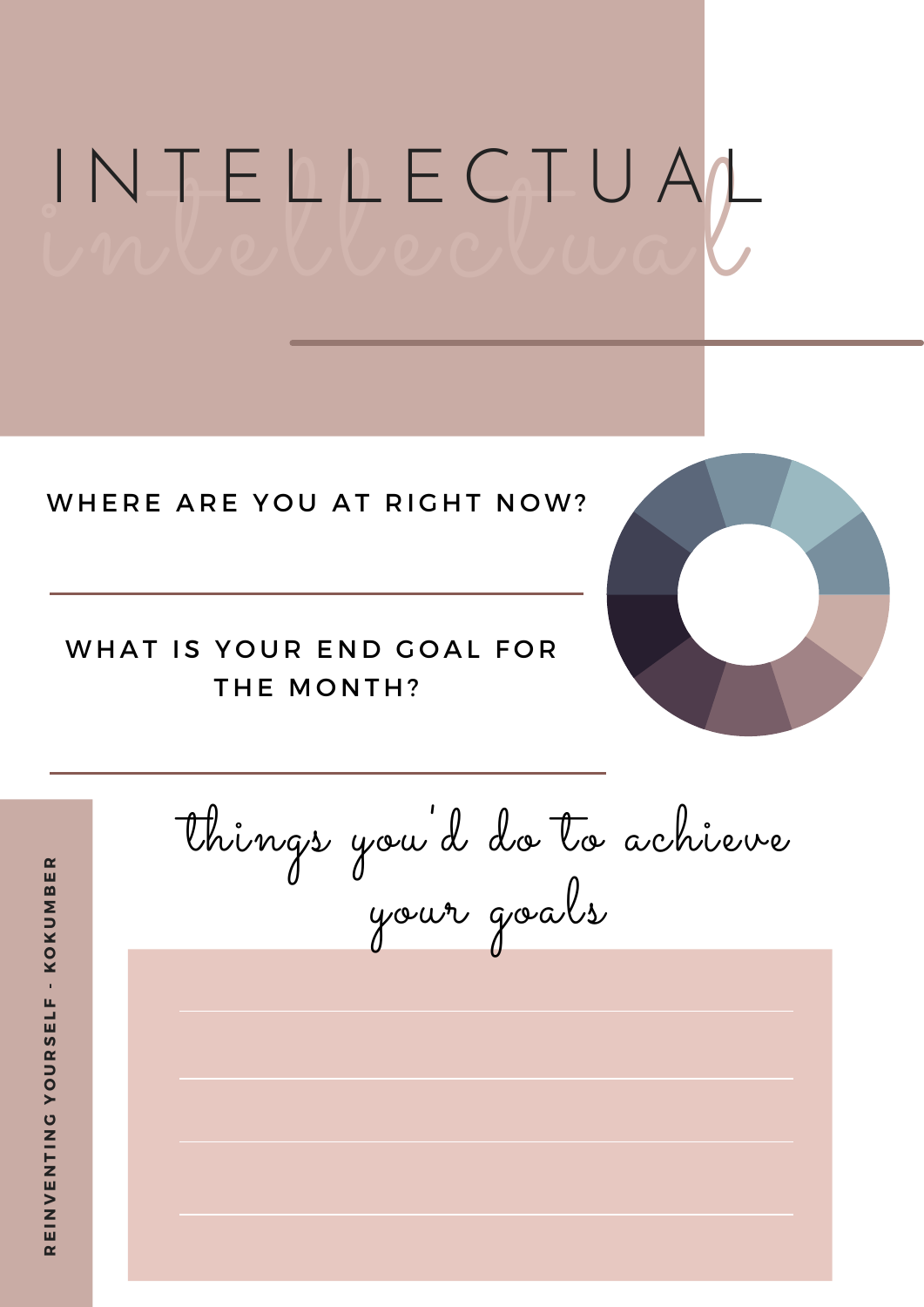# intellectual I N T E L L E C T U A/L

#### WHERE ARE YOU AT RIGHT NOW?

### WHAT IS YOUR END GOAL FOR THE MONTH?



**E I N V ENT I N GY OUR**<u>ທ</u> **ELF - K OKUΣ BER**

**R**

things you 'd do to achieve your goals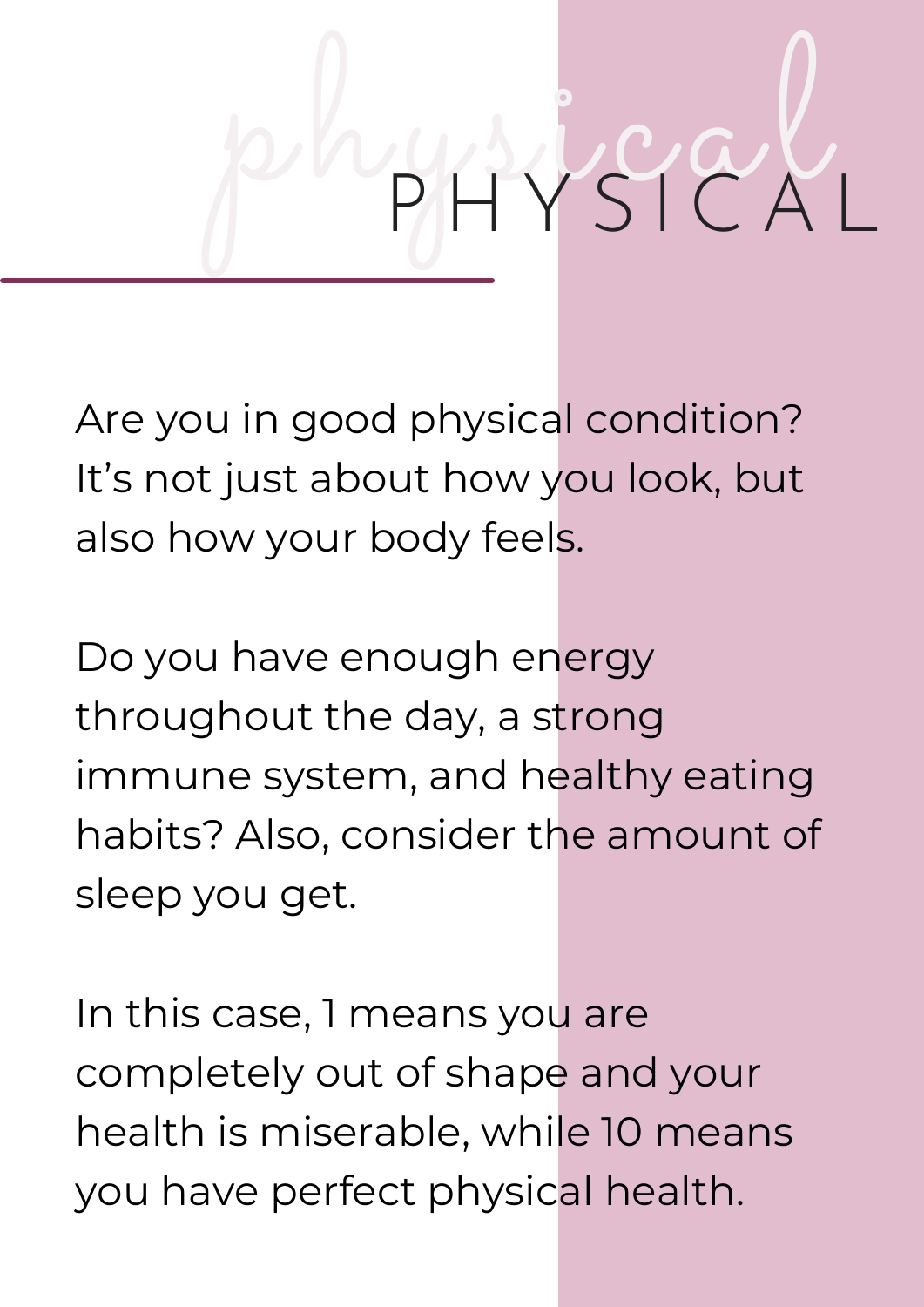# physical P H Y S I C A L

Are you in good physical condition? It's not just about how you look, but also how your body feels.

Do you have enough energy throughout the day, a strong immune system, and healthy eating habits? Also, consider the amount of sleep you get.

In this case, 1 means you are completely out of shape and your health is miserable, while 10 means you have perfect physical health.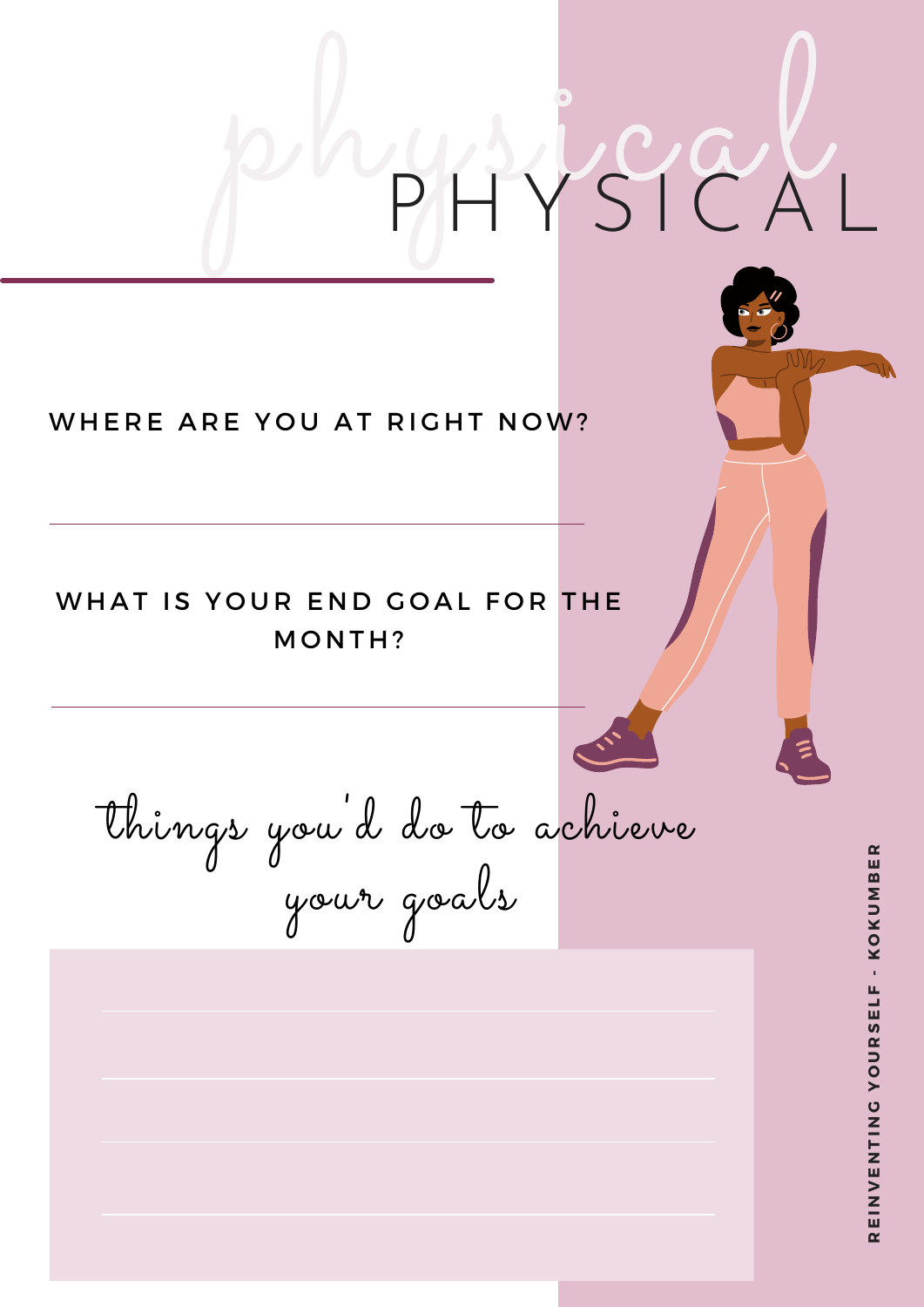### physical P H Y S I C A L things you 'd do to achieve your goals **UR**<u>ហ</u> **ELF - K OKUΣ BER**WHERE ARE YOU AT RIGHT NOW? WHAT IS YOUR END GOAL FOR THE MONTH?

**RE I N**  $>$ **ENT I N GY O**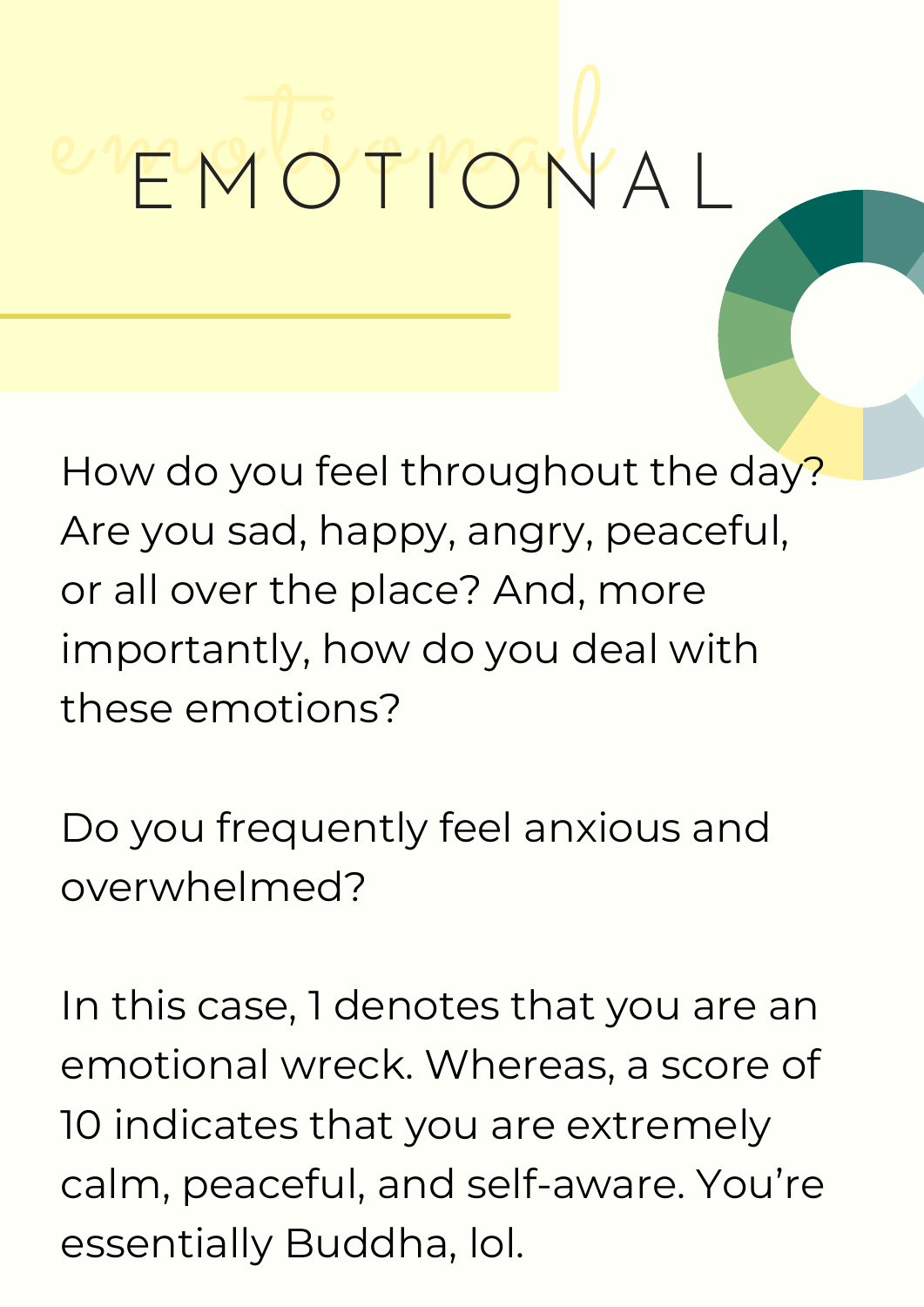# emotional <sup>E</sup> <sup>M</sup> <sup>O</sup> <sup>T</sup> <sup>I</sup> <sup>O</sup> <sup>N</sup> <sup>A</sup> <sup>L</sup>

How do you feel throughout the day? Are you sad, happy, angry, peaceful, or all over the place? And, more importantly, how do you deal with these emotions?

Do you frequently feel anxious and overwhelmed?

In this case, 1 denotes that you are an emotional wreck. Whereas, a score of 10 indicates that you are extremely calm, peaceful, and self-aware. You're essentially Buddha, lol.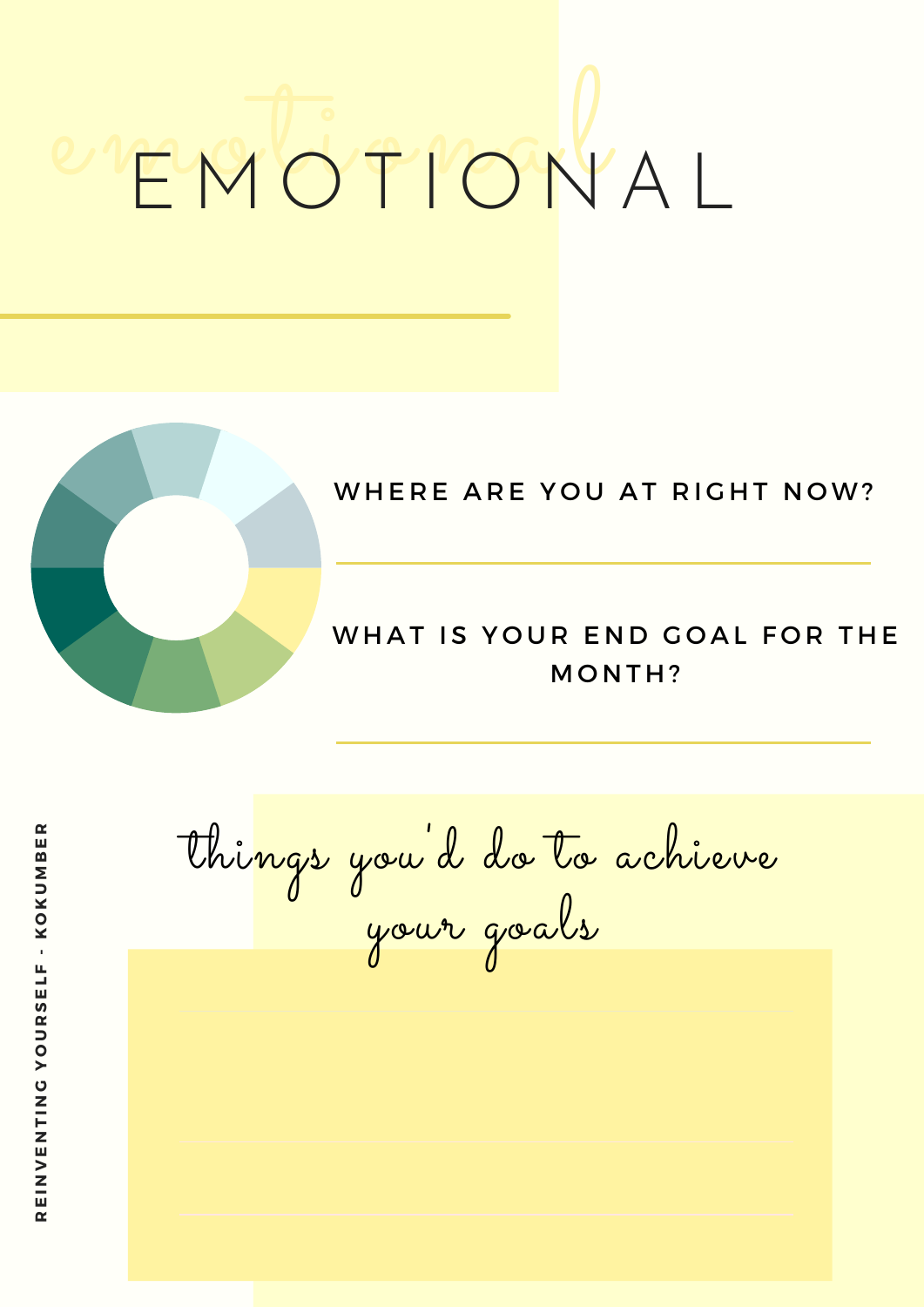# emotional <sup>E</sup> <sup>M</sup> <sup>O</sup> <sup>T</sup> <sup>I</sup> <sup>O</sup> <sup>N</sup> <sup>A</sup> <sup>L</sup>



### WHERE ARE YOU AT RIGHT NOW?

### WHAT IS YOUR END GOAL FOR THE MONTH?

things you 'd do to achieve your goals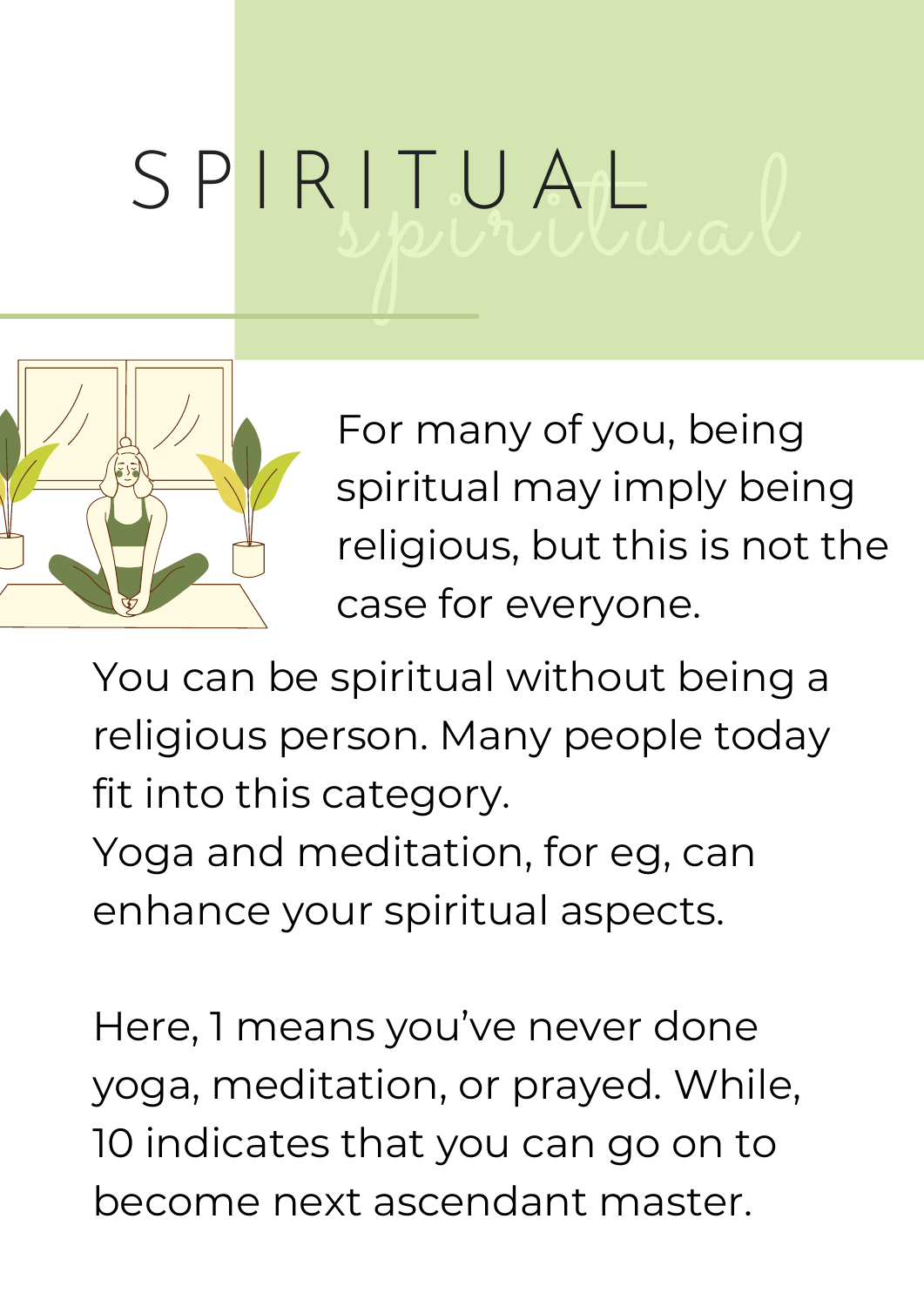# spiritual S P I R I T U A L



For many of you, being spiritual may imply being religious, but this is not the case for everyone.

You can be spiritual without being a religious person. Many people today fit into this category.

Yoga and meditation, for eg, can enhance your spiritual aspects.

Here, 1 means you've never done yoga, meditation, or prayed. While, 10 indicates that you can go on to become next ascendant master.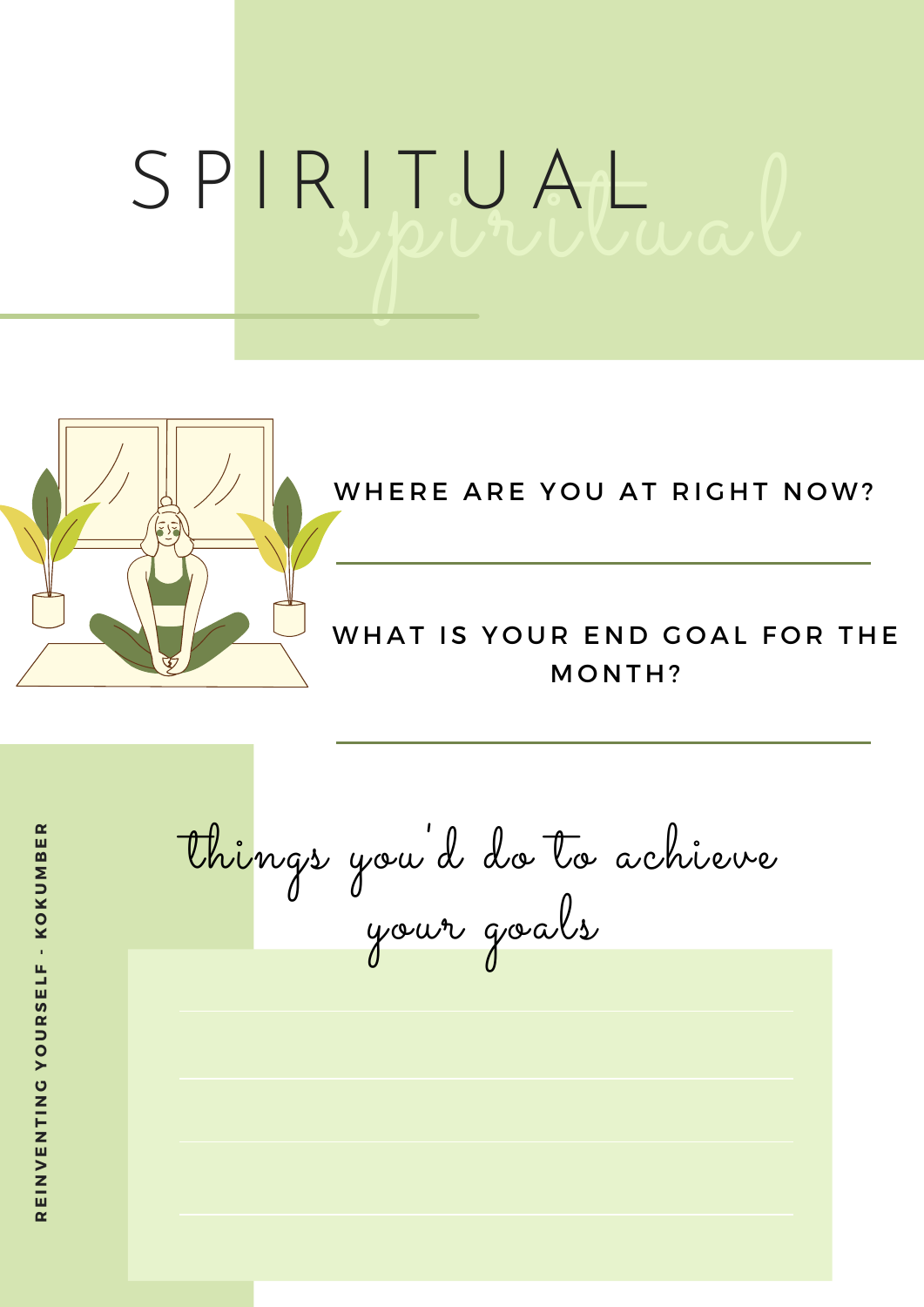## spiritual S P I R I T U A L



### WHERE ARE YOU AT RIGHT NOW?

### WHAT IS YOUR END GOAL FOR THE MONTH?

things you 'd do to achieve your goals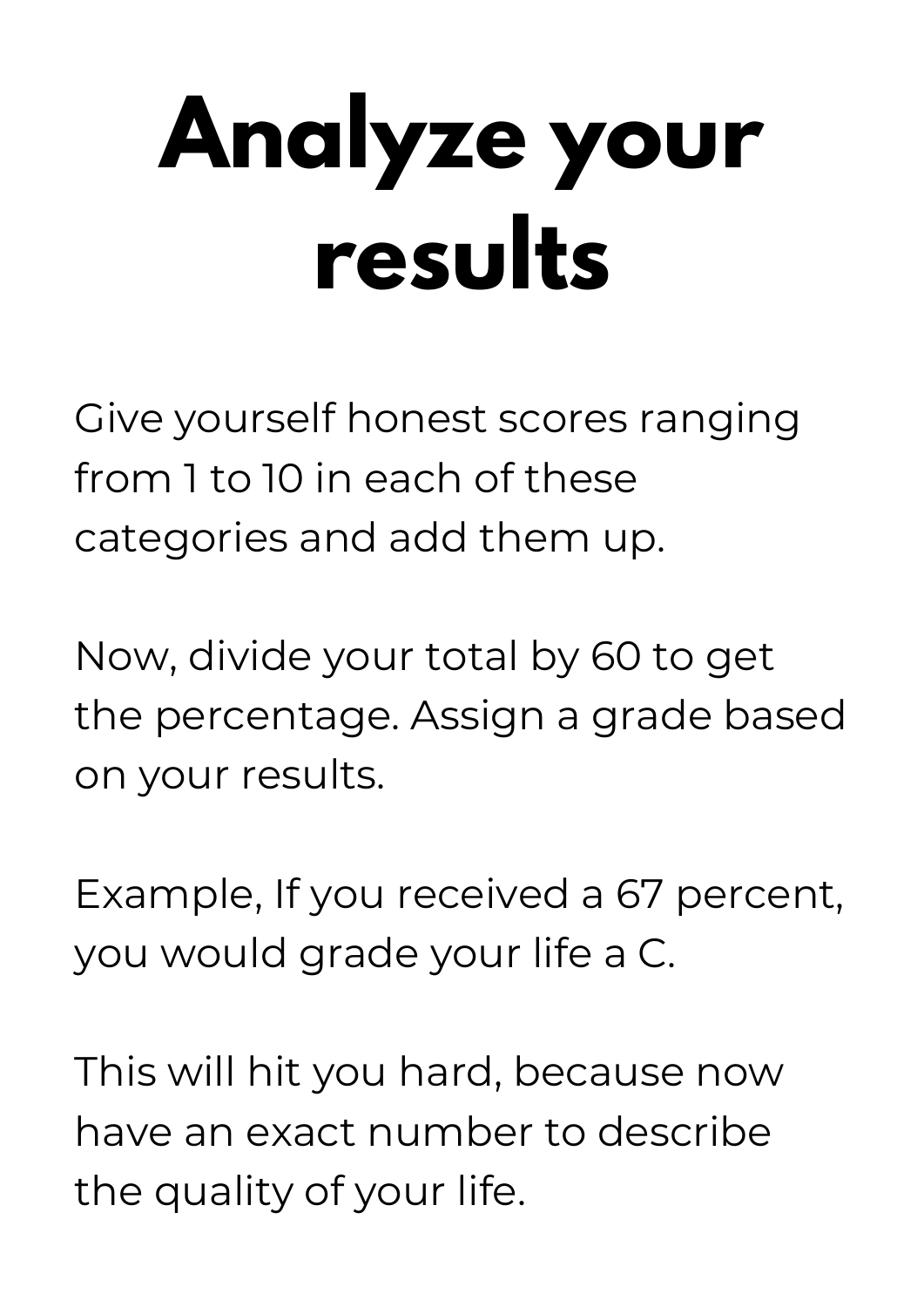# **Analyze your results**

Give yourself honest scores ranging from 1 to 10 in each of these categories and add them up.

Now, divide your total by 60 to get the percentage. Assign a grade based on your results.

Example, If you received a 67 percent, you would grade your life a C.

This will hit you hard, because now have an exact number to describe the quality of your life.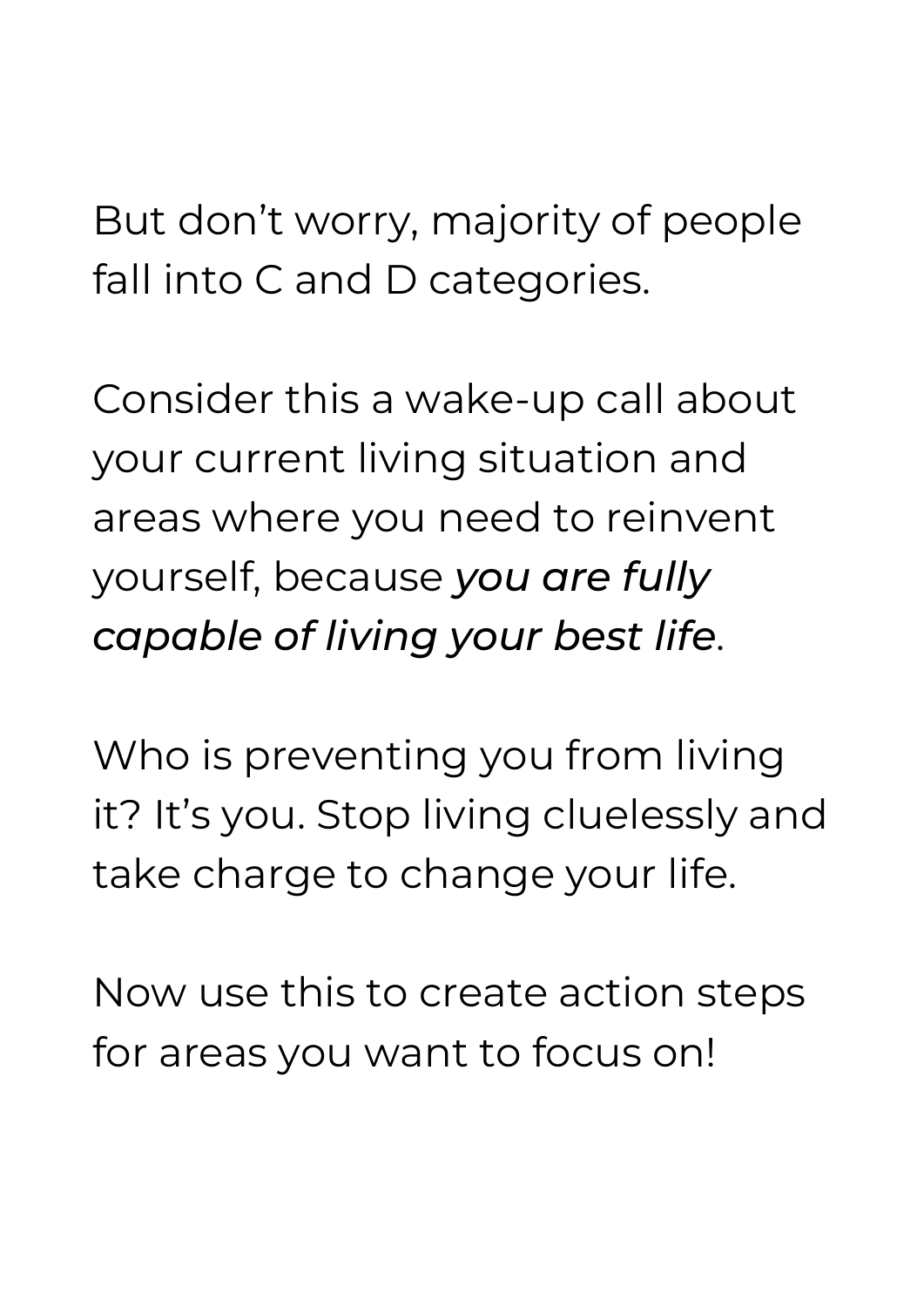But don't worry, majority of people fall into C and D categories.

Consider this a wake-up call about your current living situation and areas where you need to reinvent yourself, because *you are fully capable of living your best life*.

Who is preventing you from living it? It's you. Stop living cluelessly and take charge to change your life.

Now use this to create action steps for areas you want to focus on!